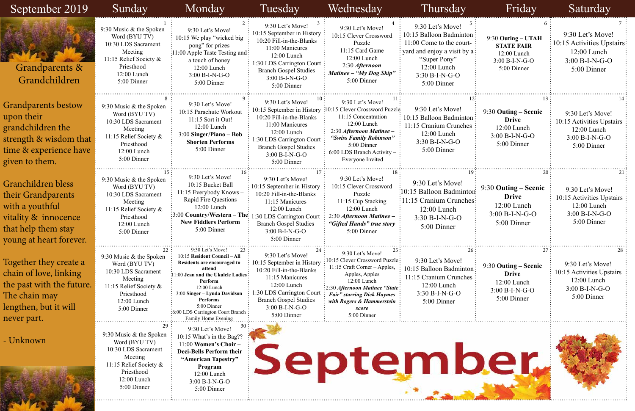#### 9:30 Let's Move!  $\frac{1}{2}10:15$  Activities Upstairs: 12:00 Lunch 3:00 B-I-N-G-O 5:00 Dinner 9:30 Let's Move! 10:15 Activities Upstairs 12:00 Lunch 3:00 B-I-N-G-O 5:00 Dinner 1es: 9:30 **Outing – Scenic Drive** 12:00 Lunch 3:00 B-I-N-G-O 5:00 Dinner 9:30 Let's Move! 10:15 Activities Upstairs : 12:00 Lunch 3:00 B-I-N-G-O 5:00 Dinner 9:30 Let's Move! 10:15 Activities Upstairs 12:00 Lunch 3:00 B-I-N-G-O 5:00 Dinner 9:30 **Outing – Scenic Drive** 12:00 Lunch 3:00 B-I-N-G-O 5:00 Dinner 9:30 **Outing – UTAH STATE FAIR** 12:00 Lunch 3:00 B-I-N-G-O 5:00 Dinner 9:30 **Outing – Scenic Drive** 12:00 Lunch 3:00 B-I-N-G-O 5:00 Dinner





| September 2019                                                                                                                         | Sunday                                                                                                                                             | Monday                                                                                                                                                                                                                                                                               | Tuesday                                                                                                                                                                                                         | Wednesday                                                                                                                                                                                                                                        | Thursday                                                                                                                                                                    | Friday                                                                                    | Saturday                                                                                          |
|----------------------------------------------------------------------------------------------------------------------------------------|----------------------------------------------------------------------------------------------------------------------------------------------------|--------------------------------------------------------------------------------------------------------------------------------------------------------------------------------------------------------------------------------------------------------------------------------------|-----------------------------------------------------------------------------------------------------------------------------------------------------------------------------------------------------------------|--------------------------------------------------------------------------------------------------------------------------------------------------------------------------------------------------------------------------------------------------|-----------------------------------------------------------------------------------------------------------------------------------------------------------------------------|-------------------------------------------------------------------------------------------|---------------------------------------------------------------------------------------------------|
| Grandparents &<br>Grandchildren                                                                                                        | 9:30 Music & the Spoken<br>Word (BYU TV)<br>10:30 LDS Sacrament<br>Meeting<br>11:15 Relief Society &<br>Priesthood<br>12:00 Lunch<br>5:00 Dinner   | 9:30 Let's Move!<br>10:15 We play "wicked big<br>pong" for prizes<br>:11:00 Apple Taste Testing and:<br>a touch of honey<br>12:00 Lunch<br>$3:00 B-I-N-G-O$<br>5:00 Dinner                                                                                                           | 9:30 Let's Move!<br>10:15 September in History<br>10:20 Fill-in-the-Blanks<br>11:00 Manicures<br>$12:00$ Lunch<br>1:30 LDS Carrington Court:<br><b>Branch Gospel Studies</b><br>$3:00 B-I-N-G-O$<br>5:00 Dinner | 9:30 Let's Move!<br>10:15 Clever Crossword<br>Puzzle<br>11:15 Card Game<br>12:00 Lunch<br>2:30 Afternoon<br>Matinee - "My Dog Skip"<br>5:00 Dinner                                                                                               | 9:30 Let's Move!<br>10:15 Balloon Badminton<br>11:00 Come to the court-<br>yard and enjoy a visit by a:<br>"Super Pony"<br>$12:00$ Lunch<br>$3:30 B-I-N-G-O$<br>5:00 Dinner | 9:30 Outing - UTAH<br><b>STATE FAIR</b><br>12:00 Lunch<br>$3:00 B-I-N-G-O$<br>5:00 Dinner | 9:30 Let's Move!<br>10:15 Activities Upstairs<br>$12:00$ Lunch<br>$3:00 B-I-N-G-O$<br>5:00 Dinner |
| <b>Grandparents bestow</b><br>upon their<br>grandchildren the<br>strength & wisdom that<br>time & experience have<br>given to them.    | 9:30 Music & the Spoken<br>Word (BYU TV)<br>10:30 LDS Sacrament<br>Meeting<br>11:15 Relief Society &<br>Priesthood<br>12:00 Lunch<br>5:00 Dinner   | 9:30 Let's Move!<br>10:15 Parachute Workout<br>11:15 Sort it Out!<br>12:00 Lunch<br>$3:00$ Singer/Piano – Bob<br><b>Shorten Performs</b><br>5:00 Dinner                                                                                                                              | 9:30 Let's Move!<br>10:15 September in History<br>10:20 Fill-in-the-Blanks<br>11:00 Manicures<br>12:00 Lunch<br>1:30 LDS Carrington Court<br><b>Branch Gospel Studies</b><br>$3:00 B-I-N-G-O$<br>5:00 Dinner    | 9:30 Let's Move!<br>:10:15 Clever Crossword Puzzle<br>11:15 Concentration<br>12:00 Lunch<br>2:30 Afternoon Matinee -<br>"Swiss Family Robinson"<br>5:00 Dinner<br>6:00 LDS Branch Activity<br>Everyone Invited                                   | 9:30 Let's Move!<br>10:15 Balloon Badminton<br>11:15 Cranium Crunches<br>$12:00$ Lunch<br>$3:30 B-I-N-G-O$<br>5:00 Dinner                                                   | 9:30 Outing – Scenic<br><b>Drive</b><br>12:00 Lunch<br>$3:00 B-I-N-G-O$<br>5:00 Dinner    | 9:30 Let's Move!<br>10:15 Activities Upstairs<br>$12:00$ Lunch<br>$3:00 B-I-N-G-O$<br>5:00 Dinner |
| Granchildren bless<br>their Grandparents<br>with a youthful<br>vitality & innocence<br>that help them stay<br>young at heart forever.  | 9:30 Music & the Spoken<br>Word (BYU TV)<br>10:30 LDS Sacrament<br>Meeting<br>11:15 Relief Society &<br>Priesthood<br>12:00 Lunch<br>5:00 Dinner   | 9:30 Let's Move!<br>10:15 Bucket Ball<br>11:15 Everybody Knows -<br><b>Rapid Fire Questions</b><br>$12:00$ Lunch<br>$\frac{1}{2}3:00$ Country/Western – The:<br><b>New Fiddlers Perform</b><br>5:00 Dinner                                                                           | 9:30 Let's Move!<br>10:15 September in History<br>10:20 Fill-in-the-Blanks<br>11:15 Manicures<br>12:00 Lunch<br>:30 LDS Carrington Court<br><b>Branch Gospel Studies</b><br>$3:00 B-I-N-G-O$<br>5:00 Dinner     | 9:30 Let's Move!<br>10:15 Clever Crossword<br>Puzzle<br>11:15 Cup Stacking<br>$12:00$ Lunch<br>2:30 Afternoon Matinee -<br>"Gifted Hands" true story<br>5:00 Dinner                                                                              | 9:30 Let's Move!<br>:10:15 Balloon Badminton<br>:11:15 Cranium Crunches:<br>$12:00$ Lunch<br>$3:30 B-I-N-G-O$<br>5:00 Dinner                                                | 9:30 Outing – Scenic<br><b>Drive</b><br>$12:00$ Lunch<br>$3:00 B-I-N-G-O$<br>5:00 Dinner  | 9:30 Let's Move!<br>10:15 Activities Upstairs<br>$12:00$ Lunch<br>$3:00 B-I-N-G-O$<br>5:00 Dinner |
| Together they create a<br>chain of love, linking<br>the past with the future.<br>The chain may<br>lengthen, but it will<br>never part. | 9:30 Music & the Spoken<br>Word (BYU TV)<br>10:30 LDS Sacrament<br>Meeting<br>11:15 Relief Society &<br>Priesthood<br>$12:00$ Lunch<br>5:00 Dinner | 9:30 Let's Move!<br>23<br>10:15 Resident Council - All<br>Residents are encouraged to<br>attend<br>1:00 Jean and the Ukulele Ladies<br>Perform<br>12:00 Lunch<br>3:00 Singer - Lynda Davidson<br>Performs<br>5:00 Dinner<br>:6:00 LDS Carrington Court Branch<br>Family Home Evening | 9:30 Let's Move!<br>10:15 September in History<br>10:20 Fill-in-the-Blanks<br>11:15 Manicures<br>12:00 Lunch<br>1:30 LDS Carrington Court<br><b>Branch Gospel Studies</b><br>$3:00 B-I-N-G-O$<br>5:00 Dinner    | 9:30 Let's Move!<br>10:15 Clever Crossword Puzzle:<br>11:15 Craft Corner - Apples,<br>Apples, Apples<br>12:00 Lunch<br>:2:30 Afternoon Matinee "State:<br><b>Fair" starring Dick Haymes</b><br>with Rogers & Hammerstein<br>score<br>5:00 Dinner | 9:30 Let's Move!<br>10:15 Balloon Badminton<br>11:15 Cranium Crunches<br>$12:00$ Lunch<br>3:30 B-I-N-G-O<br>5:00 Dinner                                                     | 9:30 Outing – Scenic<br><b>Drive</b><br>12:00 Lunch<br>$3:00 B-I-N-G-O$<br>5:00 Dinner    | 9:30 Let's Move!<br>10:15 Activities Upstairs<br>12:00 Lunch<br>3:00 B-I-N-G-O<br>5:00 Dinner     |
| - Unknown                                                                                                                              | 9:30 Music & the Spoken<br>Word (BYU TV)<br>10:30 LDS Sacrament<br>Meeting<br>11:15 Relief Society &<br>Priesthood<br>12:00 Lunch<br>5:00 Dinner   | 9:30 Let's Move!<br>10:15 What's in the Bag??<br>11:00 Women's Choir -<br>Deci-Bells Perform their<br>"American Tapestry"<br>Program<br>$12:00$ Lunch<br>$3:00 B-I-N-G-O$<br>5:00 Dinner                                                                                             |                                                                                                                                                                                                                 |                                                                                                                                                                                                                                                  | September,                                                                                                                                                                  |                                                                                           |                                                                                                   |

up

gr

gives

Gl

the

wi

that

yo<sup>ng</sup>

To<br>ch

The chain may

len

ne